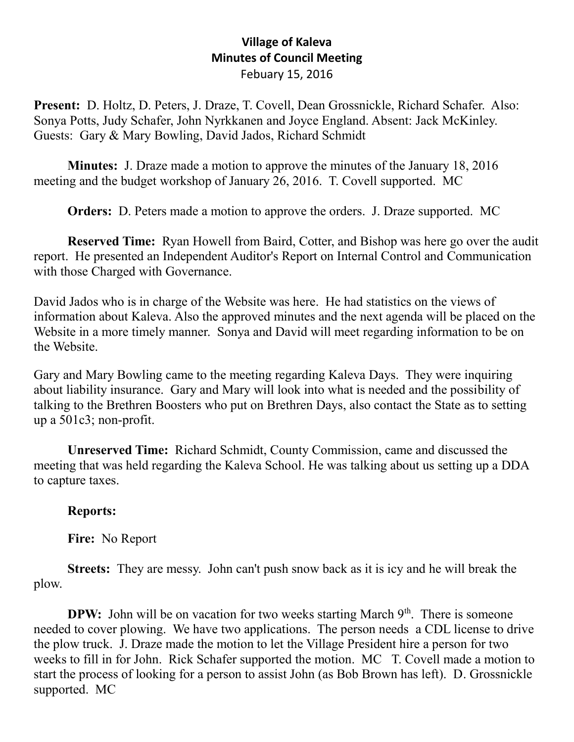## **Village of Kaleva Minutes of Council Meeting** Febuary 15, 2016

**Present:** D. Holtz, D. Peters, J. Draze, T. Covell, Dean Grossnickle, Richard Schafer. Also: Sonya Potts, Judy Schafer, John Nyrkkanen and Joyce England. Absent: Jack McKinley. Guests: Gary & Mary Bowling, David Jados, Richard Schmidt

**Minutes:** J. Draze made a motion to approve the minutes of the January 18, 2016 meeting and the budget workshop of January 26, 2016. T. Covell supported. MC

**Orders:** D. Peters made a motion to approve the orders. J. Draze supported. MC

**Reserved Time:** Ryan Howell from Baird, Cotter, and Bishop was here go over the audit report. He presented an Independent Auditor's Report on Internal Control and Communication with those Charged with Governance.

David Jados who is in charge of the Website was here. He had statistics on the views of information about Kaleva. Also the approved minutes and the next agenda will be placed on the Website in a more timely manner. Sonya and David will meet regarding information to be on the Website.

Gary and Mary Bowling came to the meeting regarding Kaleva Days. They were inquiring about liability insurance. Gary and Mary will look into what is needed and the possibility of talking to the Brethren Boosters who put on Brethren Days, also contact the State as to setting up a 501c3; non-profit.

**Unreserved Time:** Richard Schmidt, County Commission, came and discussed the meeting that was held regarding the Kaleva School. He was talking about us setting up a DDA to capture taxes.

## **Reports:**

**Fire:** No Report

**Streets:** They are messy. John can't push snow back as it is icy and he will break the plow.

**DPW:** John will be on vacation for two weeks starting March  $9<sup>th</sup>$ . There is someone needed to cover plowing. We have two applications. The person needs a CDL license to drive the plow truck. J. Draze made the motion to let the Village President hire a person for two weeks to fill in for John. Rick Schafer supported the motion. MC T. Covell made a motion to start the process of looking for a person to assist John (as Bob Brown has left). D. Grossnickle supported. MC